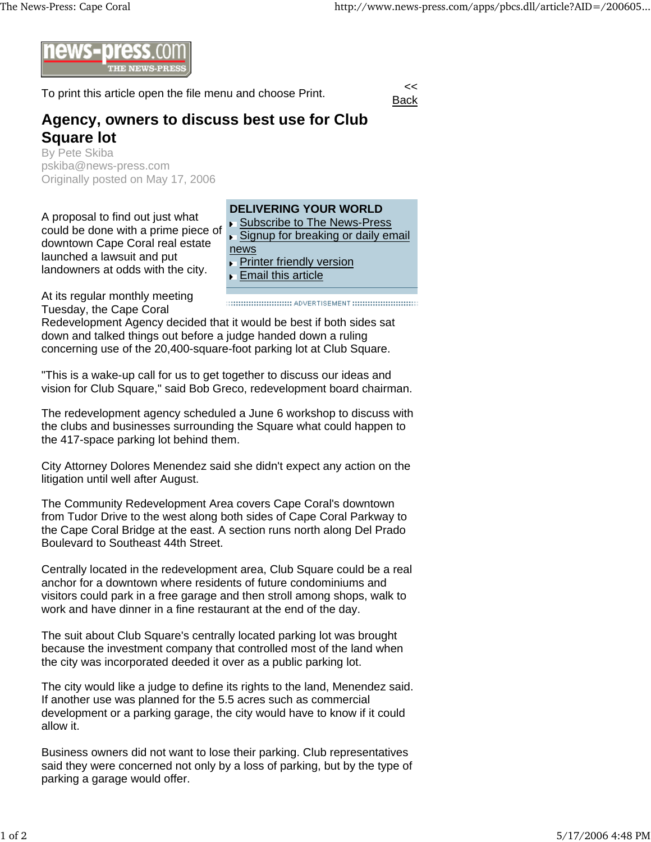

To print this article open the file menu and choose Print.



## **Agency, owners to discuss best use for Club Square lot**

By Pete Skiba pskiba@news-press.com Originally posted on May 17, 2006

A proposal to find out just what could be done with a prime piece of downtown Cape Coral real estate launched a lawsuit and put landowners at odds with the city.



**Email this article** 

At its regular monthly meeting Tuesday, the Cape Coral

Redevelopment Agency decided that it would be best if both sides sat down and talked things out before a judge handed down a ruling concerning use of the 20,400-square-foot parking lot at Club Square.

"This is a wake-up call for us to get together to discuss our ideas and vision for Club Square," said Bob Greco, redevelopment board chairman.

The redevelopment agency scheduled a June 6 workshop to discuss with the clubs and businesses surrounding the Square what could happen to the 417-space parking lot behind them.

City Attorney Dolores Menendez said she didn't expect any action on the litigation until well after August.

The Community Redevelopment Area covers Cape Coral's downtown from Tudor Drive to the west along both sides of Cape Coral Parkway to the Cape Coral Bridge at the east. A section runs north along Del Prado Boulevard to Southeast 44th Street.

Centrally located in the redevelopment area, Club Square could be a real anchor for a downtown where residents of future condominiums and visitors could park in a free garage and then stroll among shops, walk to work and have dinner in a fine restaurant at the end of the day.

The suit about Club Square's centrally located parking lot was brought because the investment company that controlled most of the land when the city was incorporated deeded it over as a public parking lot.

The city would like a judge to define its rights to the land, Menendez said. If another use was planned for the 5.5 acres such as commercial development or a parking garage, the city would have to know if it could allow it.

Business owners did not want to lose their parking. Club representatives said they were concerned not only by a loss of parking, but by the type of parking a garage would offer.